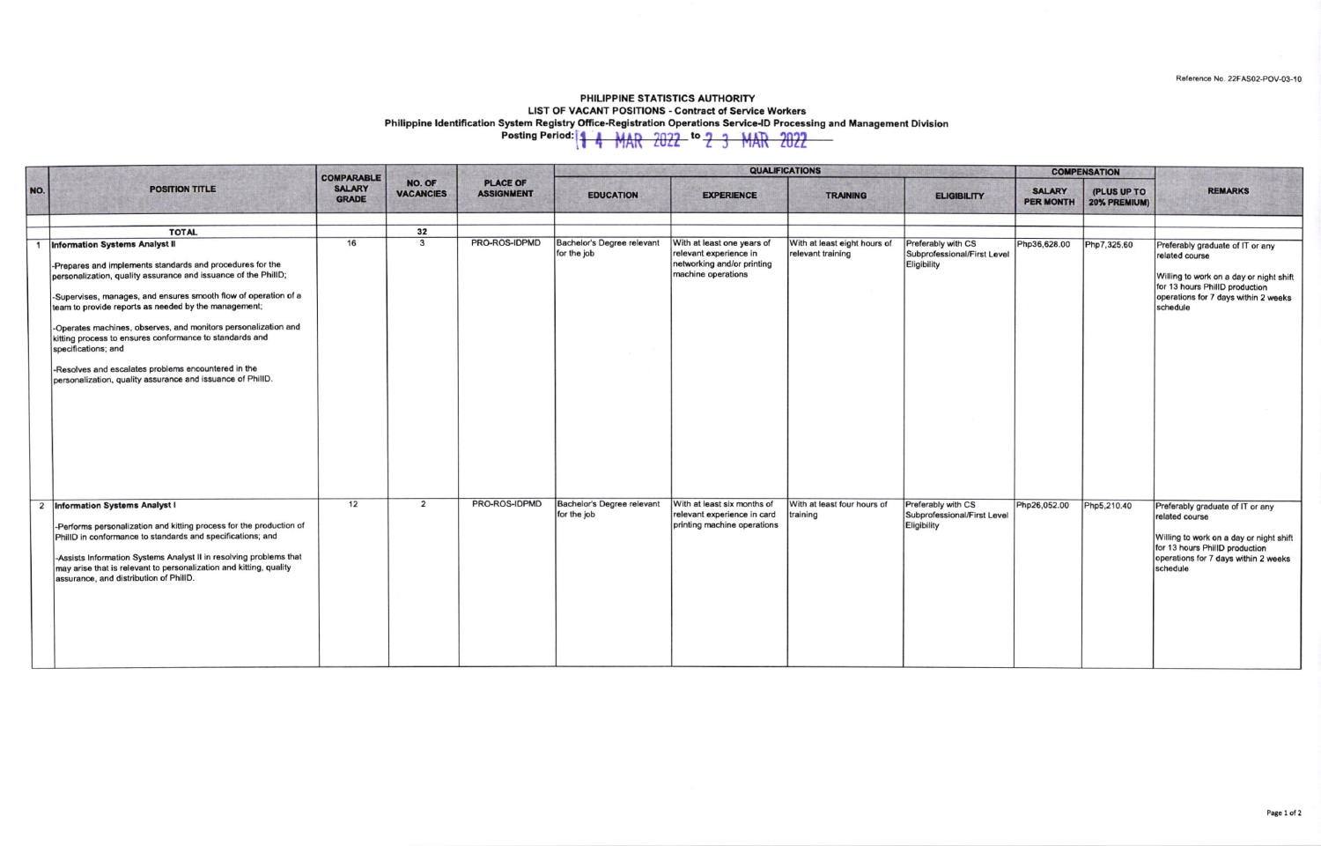Reference No. 22FAS02-POV-03-10

## PHILIPPINE STATISTICS AUTHORITY **LIST OF VACANT POSITIONS - Contract of Service Workers** Philippine Identification System Registry Office-Registration Operations Service-ID Processing and Management Division<br>Posting Period:  $\frac{1}{4}$  MAR 2022 <sup>to</sup> 2 3 MAR 2022

| NO. | <b>POSITION TITLE</b>                                                                                                                                                                                                                                                                                                                                                                                                                                                                                                                                                    | <b>COMPARABLE</b><br><b>SALARY</b><br><b>GRADE</b> | NO. OF<br><b>VACANCIES</b> | <b>PLACE OF</b><br><b>ASSIGNMENT</b> | <b>QUALIFICATIONS</b>                     |                                                                                                          |                                                   |                                                                  | <b>COMPENSATION</b>               |                             |                                                                                                                                                                                     |
|-----|--------------------------------------------------------------------------------------------------------------------------------------------------------------------------------------------------------------------------------------------------------------------------------------------------------------------------------------------------------------------------------------------------------------------------------------------------------------------------------------------------------------------------------------------------------------------------|----------------------------------------------------|----------------------------|--------------------------------------|-------------------------------------------|----------------------------------------------------------------------------------------------------------|---------------------------------------------------|------------------------------------------------------------------|-----------------------------------|-----------------------------|-------------------------------------------------------------------------------------------------------------------------------------------------------------------------------------|
|     |                                                                                                                                                                                                                                                                                                                                                                                                                                                                                                                                                                          |                                                    |                            |                                      | <b>EDUCATION</b>                          | <b>EXPERIENCE</b>                                                                                        | <b>TRAINING</b>                                   | <b>ELIGIBILITY</b>                                               | <b>SALARY</b><br><b>PER MONTH</b> | (PLUS UP TO<br>20% PREMIUM) | <b>REMARKS</b>                                                                                                                                                                      |
|     | <b>TOTAL</b>                                                                                                                                                                                                                                                                                                                                                                                                                                                                                                                                                             |                                                    | 32                         |                                      |                                           |                                                                                                          |                                                   |                                                                  |                                   |                             |                                                                                                                                                                                     |
|     | <b>Information Systems Analyst II</b><br>-Prepares and implements standards and procedures for the<br>personalization, quality assurance and issuance of the PhillD;<br>-Supervises, manages, and ensures smooth flow of operation of a<br>team to provide reports as needed by the management;<br>-Operates machines, observes, and monitors personalization and<br>kitting process to ensures conformance to standards and<br>specifications; and<br>-Resolves and escalates problems encountered in the<br>personalization, quality assurance and issuance of PhillD. | 16                                                 | $\mathbf{3}$               | PRO-ROS-IDPMD                        | Bachelor's Degree relevant<br>for the job | With at least one years of<br>relevant experience in<br>networking and/or printing<br>machine operations | With at least eight hours of<br>relevant training | Preferably with CS<br>Subprofessional/First Level<br>Eligibility | Php36,628.00                      | Php7,325.60                 | Preferably graduate of IT or any<br>related course<br>Willing to work on a day or night shift<br>for 13 hours PhillD production<br>operations for 7 days within 2 weeks<br>schedule |
|     | 2 Information Systems Analyst I<br>-Performs personalization and kitting process for the production of<br>PhillD in conformance to standards and specifications; and<br>-Assists Information Systems Analyst II in resolving problems that<br>may arise that is relevant to personalization and kitting, quality<br>assurance, and distribution of PhillD.                                                                                                                                                                                                               | 12                                                 | $\overline{2}$             | PRO-ROS-IDPMD                        | Bachelor's Degree relevant<br>for the job | With at least six months of<br>relevant experience in card<br>printing machine operations                | With at least four hours of<br>training           | Preferably with CS<br>Subprofessional/First Level<br>Eligibility | Php26,052.00                      | Php5,210.40                 | Preferably graduate of IT or any<br>related course<br>Willing to work on a day or night shift<br>for 13 hours PhillD production<br>operations for 7 days within 2 weeks<br>schedule |